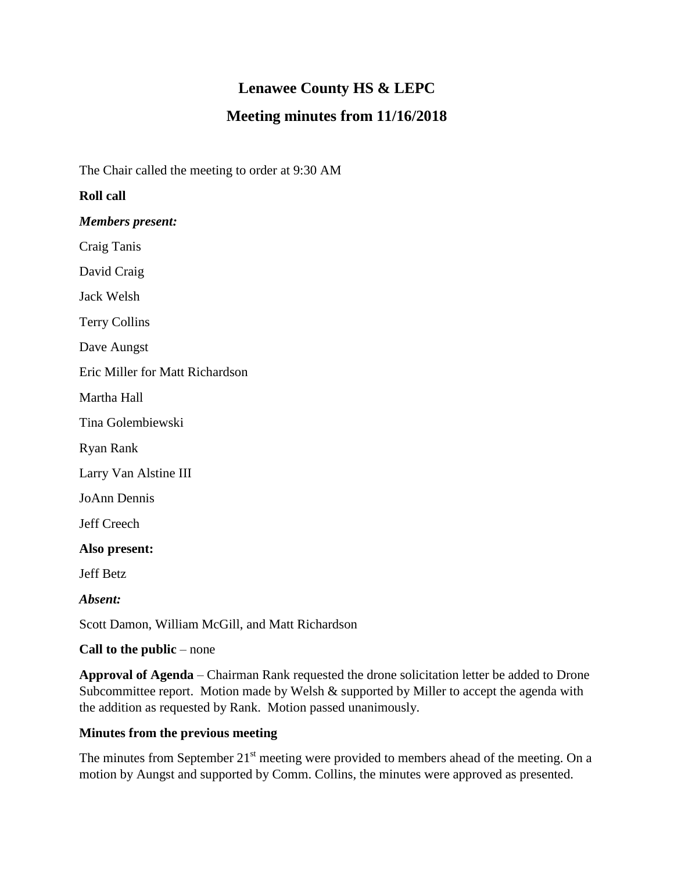# **Lenawee County HS & LEPC**

## **Meeting minutes from 11/16/2018**

The Chair called the meeting to order at 9:30 AM

### **Roll call**

*Members present:*

Craig Tanis

David Craig

Jack Welsh

Terry Collins

Dave Aungst

Eric Miller for Matt Richardson

Martha Hall

Tina Golembiewski

Ryan Rank

Larry Van Alstine III

JoAnn Dennis

Jeff Creech

**Also present:**

Jeff Betz

*Absent:*

Scott Damon, William McGill, and Matt Richardson

**Call to the public** – none

**Approval of Agenda** – Chairman Rank requested the drone solicitation letter be added to Drone Subcommittee report. Motion made by Welsh & supported by Miller to accept the agenda with the addition as requested by Rank. Motion passed unanimously.

#### **Minutes from the previous meeting**

The minutes from September  $21<sup>st</sup>$  meeting were provided to members ahead of the meeting. On a motion by Aungst and supported by Comm. Collins, the minutes were approved as presented.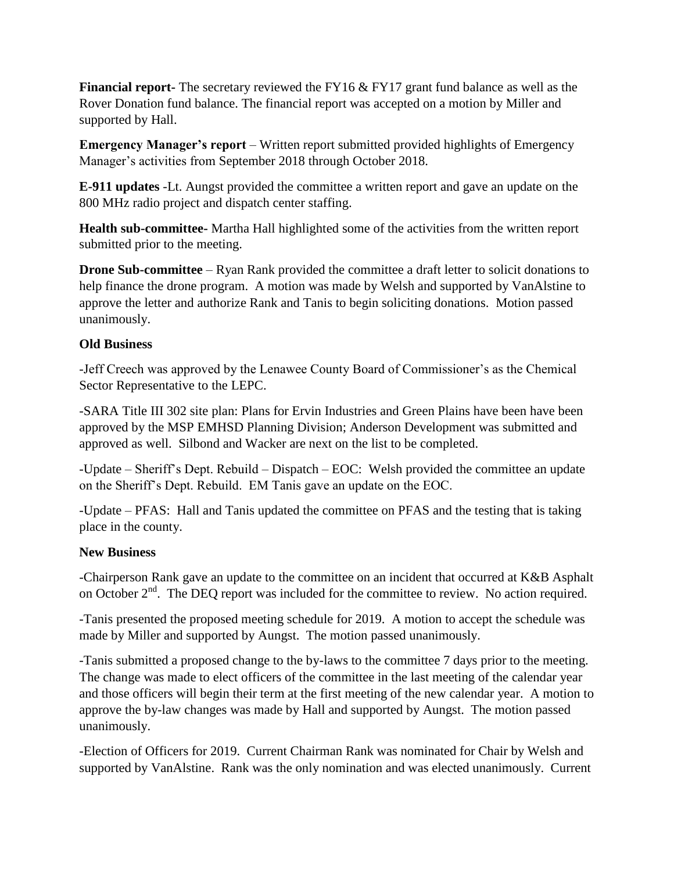**Financial report-** The secretary reviewed the FY16 & FY17 grant fund balance as well as the Rover Donation fund balance. The financial report was accepted on a motion by Miller and supported by Hall.

**Emergency Manager's report** – Written report submitted provided highlights of Emergency Manager's activities from September 2018 through October 2018.

**E-911 updates** -Lt. Aungst provided the committee a written report and gave an update on the 800 MHz radio project and dispatch center staffing.

**Health sub-committee-** Martha Hall highlighted some of the activities from the written report submitted prior to the meeting.

**Drone Sub-committee** – Ryan Rank provided the committee a draft letter to solicit donations to help finance the drone program. A motion was made by Welsh and supported by VanAlstine to approve the letter and authorize Rank and Tanis to begin soliciting donations. Motion passed unanimously.

#### **Old Business**

-Jeff Creech was approved by the Lenawee County Board of Commissioner's as the Chemical Sector Representative to the LEPC.

-SARA Title III 302 site plan: Plans for Ervin Industries and Green Plains have been have been approved by the MSP EMHSD Planning Division; Anderson Development was submitted and approved as well. Silbond and Wacker are next on the list to be completed.

-Update – Sheriff's Dept. Rebuild – Dispatch – EOC: Welsh provided the committee an update on the Sheriff's Dept. Rebuild. EM Tanis gave an update on the EOC.

-Update – PFAS: Hall and Tanis updated the committee on PFAS and the testing that is taking place in the county.

#### **New Business**

-Chairperson Rank gave an update to the committee on an incident that occurred at K&B Asphalt on October  $2<sup>nd</sup>$ . The DEQ report was included for the committee to review. No action required.

-Tanis presented the proposed meeting schedule for 2019. A motion to accept the schedule was made by Miller and supported by Aungst. The motion passed unanimously.

-Tanis submitted a proposed change to the by-laws to the committee 7 days prior to the meeting. The change was made to elect officers of the committee in the last meeting of the calendar year and those officers will begin their term at the first meeting of the new calendar year. A motion to approve the by-law changes was made by Hall and supported by Aungst. The motion passed unanimously.

-Election of Officers for 2019. Current Chairman Rank was nominated for Chair by Welsh and supported by VanAlstine. Rank was the only nomination and was elected unanimously. Current